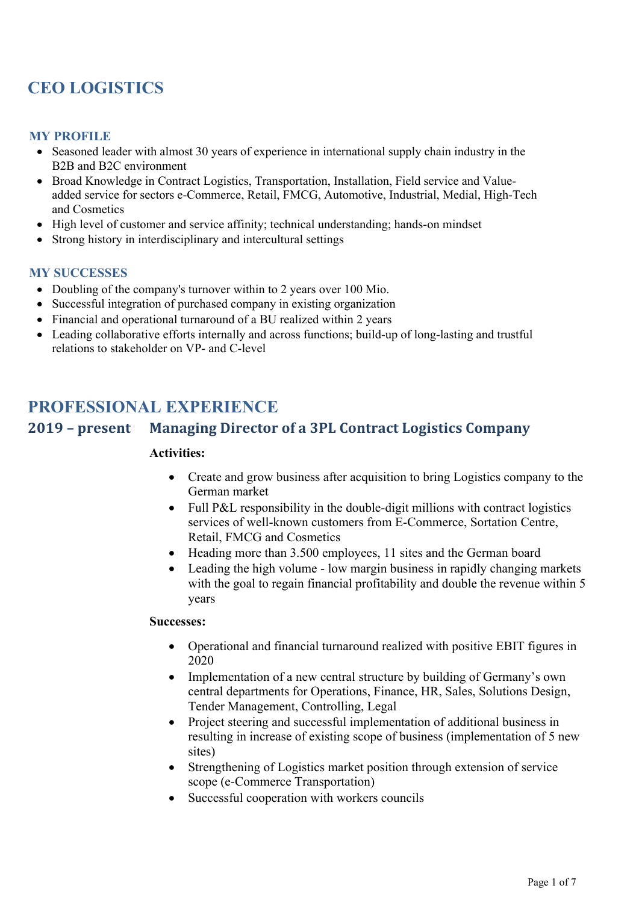# **CEO LOGISTICS**

#### **MY PROFILE**

- Seasoned leader with almost 30 years of experience in international supply chain industry in the B2B and B2C environment
- Broad Knowledge in Contract Logistics, Transportation, Installation, Field service and Valueadded service for sectors e-Commerce, Retail, FMCG, Automotive, Industrial, Medial, High-Tech and Cosmetics
- High level of customer and service affinity; technical understanding; hands-on mindset
- Strong history in interdisciplinary and intercultural settings

#### **MY SUCCESSES**

- Doubling of the company's turnover within to 2 years over 100 Mio.
- Successful integration of purchased company in existing organization
- Financial and operational turnaround of a BU realized within 2 years
- Leading collaborative efforts internally and across functions; build-up of long-lasting and trustful relations to stakeholder on VP- and C-level

## **PROFESSIONAL EXPERIENCE**

## **2019 – present Managing Director of a 3PL Contract Logistics Company**

#### **Activities:**

- Create and grow business after acquisition to bring Logistics company to the German market
- Full P&L responsibility in the double-digit millions with contract logistics services of well-known customers from E-Commerce, Sortation Centre, Retail, FMCG and Cosmetics
- Heading more than 3.500 employees, 11 sites and the German board
- Leading the high volume low margin business in rapidly changing markets with the goal to regain financial profitability and double the revenue within 5 years

- Operational and financial turnaround realized with positive EBIT figures in 2020
- Implementation of a new central structure by building of Germany's own central departments for Operations, Finance, HR, Sales, Solutions Design, Tender Management, Controlling, Legal
- Project steering and successful implementation of additional business in resulting in increase of existing scope of business (implementation of 5 new sites)
- Strengthening of Logistics market position through extension of service scope (e-Commerce Transportation)
- Successful cooperation with workers councils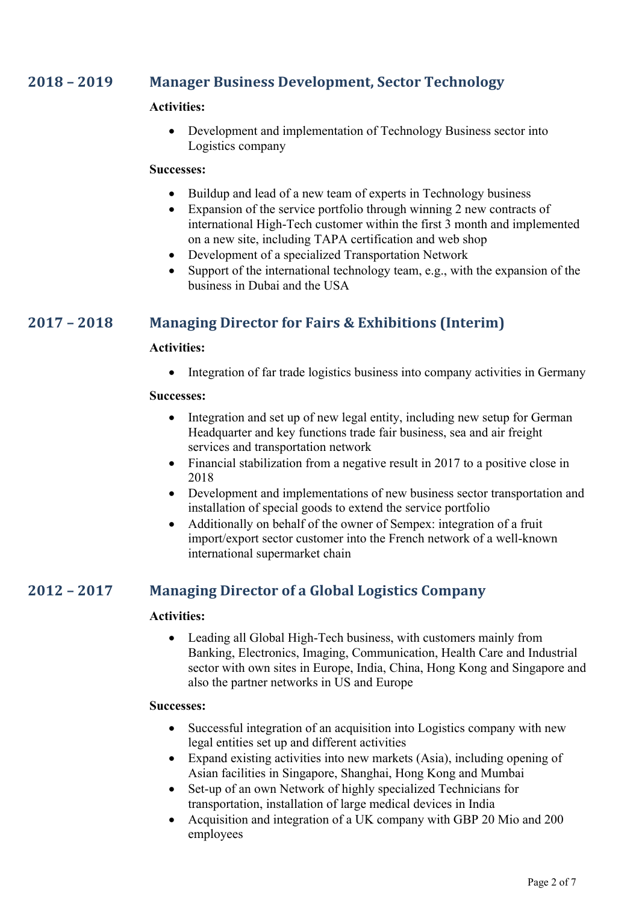## **2018 – 2019 Manager Business Development, Sector Technology**

#### **Activities:**

• Development and implementation of Technology Business sector into Logistics company

#### **Successes:**

- Buildup and lead of a new team of experts in Technology business
- Expansion of the service portfolio through winning 2 new contracts of international High-Tech customer within the first 3 month and implemented on a new site, including TAPA certification and web shop
- Development of a specialized Transportation Network
- Support of the international technology team, e.g., with the expansion of the business in Dubai and the USA

## **2017 - 2018 Managing Director for Fairs & Exhibitions (Interim)**

#### **Activities:**

• Integration of far trade logistics business into company activities in Germany

#### **Successes:**

- Integration and set up of new legal entity, including new setup for German Headquarter and key functions trade fair business, sea and air freight services and transportation network
- Financial stabilization from a negative result in 2017 to a positive close in 2018
- Development and implementations of new business sector transportation and installation of special goods to extend the service portfolio
- Additionally on behalf of the owner of Sempex: integration of a fruit import/export sector customer into the French network of a well-known international supermarket chain

## **2012 – 2017 Managing Director of a Global Logistics Company**

#### **Activities:**

• Leading all Global High-Tech business, with customers mainly from Banking, Electronics, Imaging, Communication, Health Care and Industrial sector with own sites in Europe, India, China, Hong Kong and Singapore and also the partner networks in US and Europe

- Successful integration of an acquisition into Logistics company with new legal entities set up and different activities
- Expand existing activities into new markets (Asia), including opening of Asian facilities in Singapore, Shanghai, Hong Kong and Mumbai
- Set-up of an own Network of highly specialized Technicians for transportation, installation of large medical devices in India
- Acquisition and integration of a UK company with GBP 20 Mio and 200 employees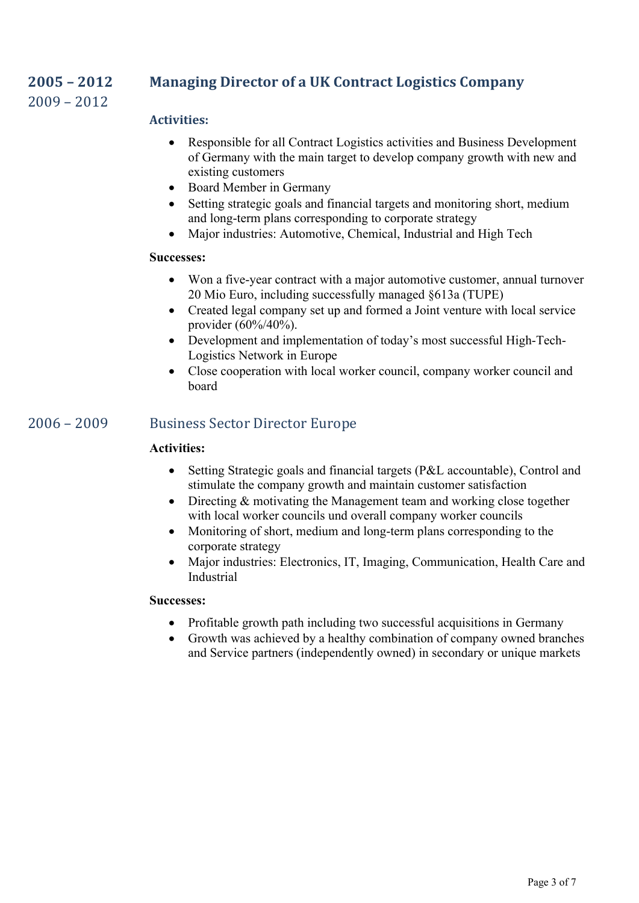## **2005 – 2012 Managing Director of a UK Contract Logistics Company**

 $2009 - 2012$ 

## **Activities:**

- Responsible for all Contract Logistics activities and Business Development of Germany with the main target to develop company growth with new and existing customers
- Board Member in Germany
- Setting strategic goals and financial targets and monitoring short, medium and long-term plans corresponding to corporate strategy
- Major industries: Automotive, Chemical, Industrial and High Tech

#### **Successes:**

- Won a five-year contract with a major automotive customer, annual turnover 20 Mio Euro, including successfully managed §613a (TUPE)
- Created legal company set up and formed a Joint venture with local service provider (60%/40%).
- Development and implementation of today's most successful High-Tech-Logistics Network in Europe
- Close cooperation with local worker council, company worker council and board

## 2006 - 2009 Business Sector Director Europe

### **Activities:**

- Setting Strategic goals and financial targets (P&L accountable), Control and stimulate the company growth and maintain customer satisfaction
- Directing & motivating the Management team and working close together with local worker councils und overall company worker councils
- Monitoring of short, medium and long-term plans corresponding to the corporate strategy
- Major industries: Electronics, IT, Imaging, Communication, Health Care and Industrial

- Profitable growth path including two successful acquisitions in Germany
- Growth was achieved by a healthy combination of company owned branches and Service partners (independently owned) in secondary or unique markets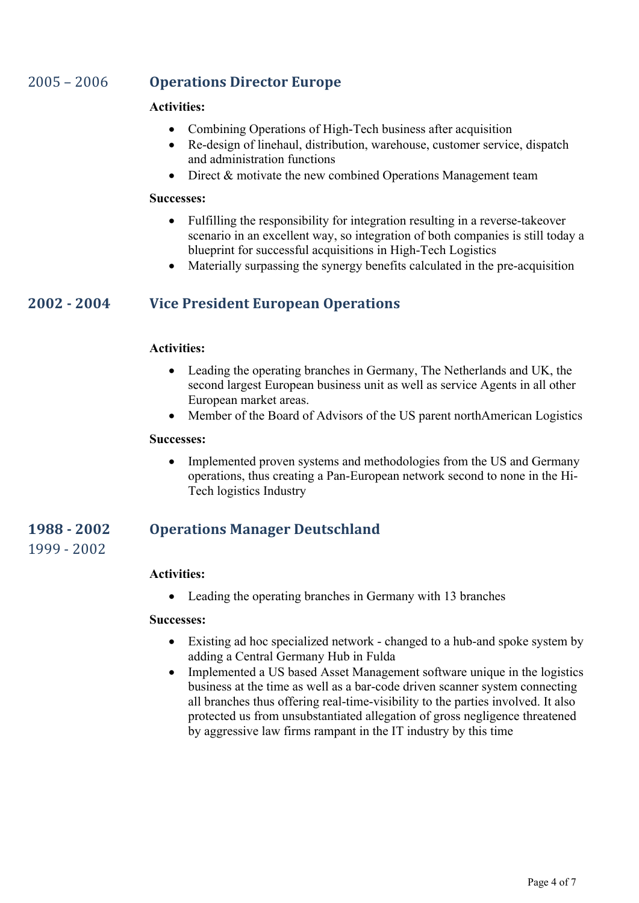## 2005 - 2006 **Operations Director Europe**

#### **Activities:**

- Combining Operations of High-Tech business after acquisition
- Re-design of linehaul, distribution, warehouse, customer service, dispatch and administration functions
- Direct & motivate the new combined Operations Management team

#### **Successes:**

- Fulfilling the responsibility for integration resulting in a reverse-takeover scenario in an excellent way, so integration of both companies is still today a blueprint for successful acquisitions in High-Tech Logistics
- Materially surpassing the synergy benefits calculated in the pre-acquisition

## **2002 - 2004 Vice President European Operations**

#### **Activities:**

- Leading the operating branches in Germany, The Netherlands and UK, the second largest European business unit as well as service Agents in all other European market areas.
- Member of the Board of Advisors of the US parent northAmerican Logistics

#### **Successes:**

• Implemented proven systems and methodologies from the US and Germany operations, thus creating a Pan-European network second to none in the Hi-Tech logistics Industry

## **1988 - 2002 Operations Manager Deutschland**

1999 - 2002

#### **Activities:**

• Leading the operating branches in Germany with 13 branches

- Existing ad hoc specialized network changed to a hub-and spoke system by adding a Central Germany Hub in Fulda
- Implemented a US based Asset Management software unique in the logistics business at the time as well as a bar-code driven scanner system connecting all branches thus offering real-time-visibility to the parties involved. It also protected us from unsubstantiated allegation of gross negligence threatened by aggressive law firms rampant in the IT industry by this time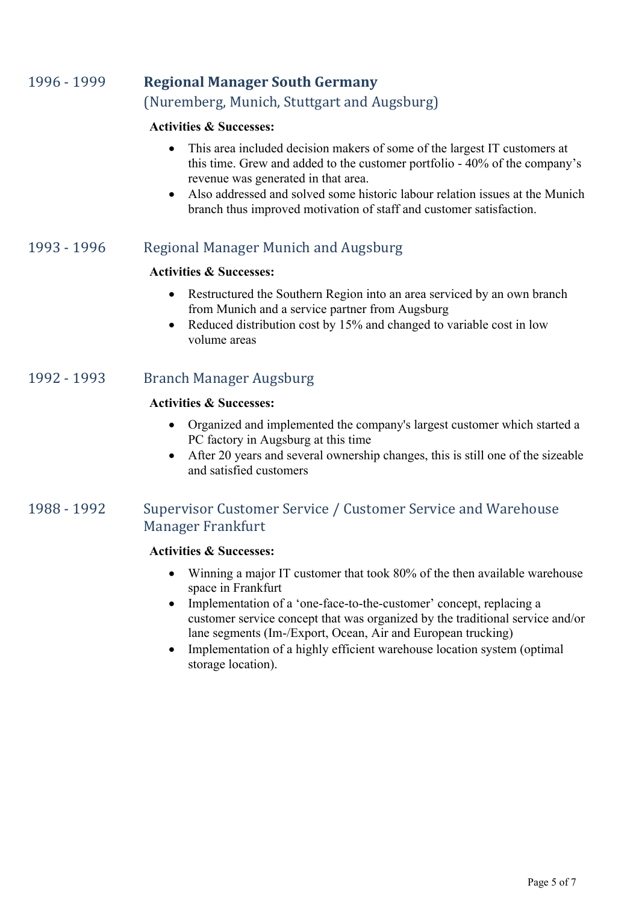## 1996 - 1999 **Regional Manager South Germany** (Nuremberg, Munich, Stuttgart and Augsburg)

#### **Activities & Successes:**

- This area included decision makers of some of the largest IT customers at this time. Grew and added to the customer portfolio - 40% of the company's revenue was generated in that area.
- Also addressed and solved some historic labour relation issues at the Munich branch thus improved motivation of staff and customer satisfaction.

## 1993 - 1996 Regional Manager Munich and Augsburg

#### **Activities & Successes:**

- Restructured the Southern Region into an area serviced by an own branch from Munich and a service partner from Augsburg
- Reduced distribution cost by 15% and changed to variable cost in low volume areas

### 1992 - 1993 Branch Manager Augsburg

#### **Activities & Successes:**

- Organized and implemented the company's largest customer which started a PC factory in Augsburg at this time
- After 20 years and several ownership changes, this is still one of the sizeable and satisfied customers

## 1988 - 1992 Supervisor Customer Service / Customer Service and Warehouse Manager Frankfurt

#### **Activities & Successes:**

- Winning a major IT customer that took 80% of the then available warehouse space in Frankfurt
- Implementation of a 'one-face-to-the-customer' concept, replacing a customer service concept that was organized by the traditional service and/or lane segments (Im-/Export, Ocean, Air and European trucking)
- Implementation of a highly efficient warehouse location system (optimal) storage location).